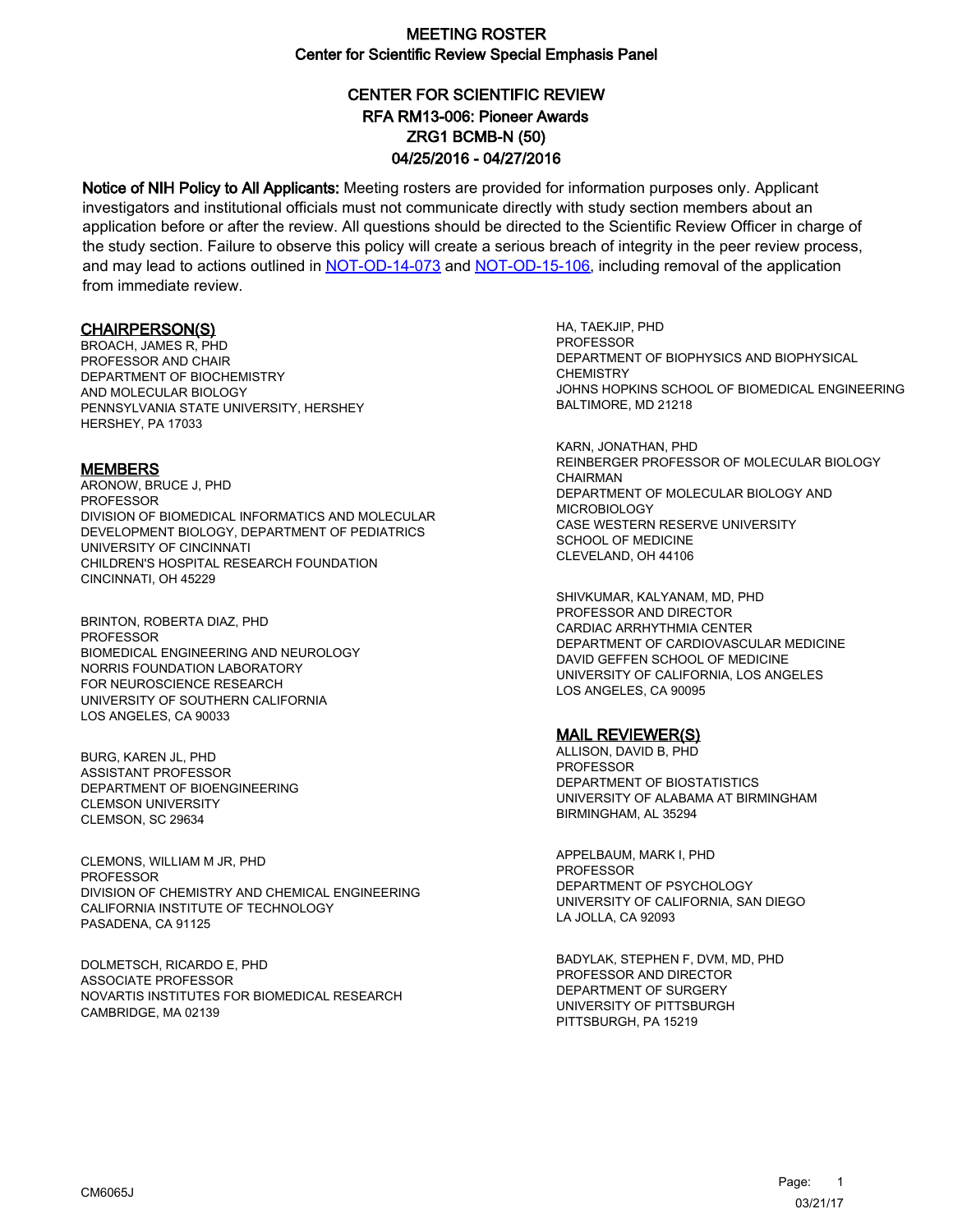# CENTER FOR SCIENTIFIC REVIEW ZRG1 BCMB-N (50) 04/25/2016 - 04/27/2016 RFA RM13-006: Pioneer Awards

Notice of NIH Policy to All Applicants: Meeting rosters are provided for information purposes only. Applicant investigators and institutional officials must not communicate directly with study section members about an application before or after the review. All questions should be directed to the Scientific Review Officer in charge of the study section. Failure to observe this policy will create a serious breach of integrity in the peer review process, and may lead to actions outlined in [NOT-OD-14-073](https://grants.nih.gov/grants/guide/notice-files/NOT-OD-14-073.html) and [NOT-OD-15-106,](https://grants.nih.gov/grants/guide/notice-files/NOT-OD-15-106.html) including removal of the application from immediate review.

#### CHAIRPERSON(S)

BROACH, JAMES R, PHD PROFESSOR AND CHAIR DEPARTMENT OF BIOCHEMISTRY AND MOLECULAR BIOLOGY PENNSYLVANIA STATE UNIVERSITY, HERSHEY HERSHEY, PA 17033

#### **MEMBERS**

ARONOW, BRUCE J, PHD PROFESSOR DIVISION OF BIOMEDICAL INFORMATICS AND MOLECULAR DEVELOPMENT BIOLOGY, DEPARTMENT OF PEDIATRICS UNIVERSITY OF CINCINNATI CHILDREN'S HOSPITAL RESEARCH FOUNDATION CINCINNATI, OH 45229

BRINTON, ROBERTA DIAZ, PHD PROFESSOR BIOMEDICAL ENGINEERING AND NEUROLOGY NORRIS FOUNDATION LABORATORY FOR NEUROSCIENCE RESEARCH UNIVERSITY OF SOUTHERN CALIFORNIA LOS ANGELES, CA 90033

BURG, KAREN JL, PHD ASSISTANT PROFESSOR DEPARTMENT OF BIOENGINEERING CLEMSON UNIVERSITY CLEMSON, SC 29634

CLEMONS, WILLIAM M JR, PHD PROFESSOR DIVISION OF CHEMISTRY AND CHEMICAL ENGINEERING CALIFORNIA INSTITUTE OF TECHNOLOGY PASADENA, CA 91125

DOLMETSCH, RICARDO E, PHD ASSOCIATE PROFESSOR NOVARTIS INSTITUTES FOR BIOMEDICAL RESEARCH CAMBRIDGE, MA 02139

HA, TAEKJIP, PHD PROFESSOR DEPARTMENT OF BIOPHYSICS AND BIOPHYSICAL **CHEMISTRY** JOHNS HOPKINS SCHOOL OF BIOMEDICAL ENGINEERING BALTIMORE, MD 21218

KARN, JONATHAN, PHD REINBERGER PROFESSOR OF MOLECULAR BIOLOGY CHAIRMAN DEPARTMENT OF MOLECULAR BIOLOGY AND MICROBIOLOGY CASE WESTERN RESERVE UNIVERSITY SCHOOL OF MEDICINE CLEVELAND, OH 44106

SHIVKUMAR, KALYANAM, MD, PHD PROFESSOR AND DIRECTOR CARDIAC ARRHYTHMIA CENTER DEPARTMENT OF CARDIOVASCULAR MEDICINE DAVID GEFFEN SCHOOL OF MEDICINE UNIVERSITY OF CALIFORNIA, LOS ANGELES LOS ANGELES, CA 90095

#### MAIL REVIEWER(S)

ALLISON, DAVID B, PHD PROFESSOR DEPARTMENT OF BIOSTATISTICS UNIVERSITY OF ALABAMA AT BIRMINGHAM BIRMINGHAM, AL 35294

APPELBAUM, MARK I, PHD **PROFESSOR** DEPARTMENT OF PSYCHOLOGY UNIVERSITY OF CALIFORNIA, SAN DIEGO LA JOLLA, CA 92093

BADYLAK, STEPHEN F, DVM, MD, PHD PROFESSOR AND DIRECTOR DEPARTMENT OF SURGERY UNIVERSITY OF PITTSBURGH PITTSBURGH, PA 15219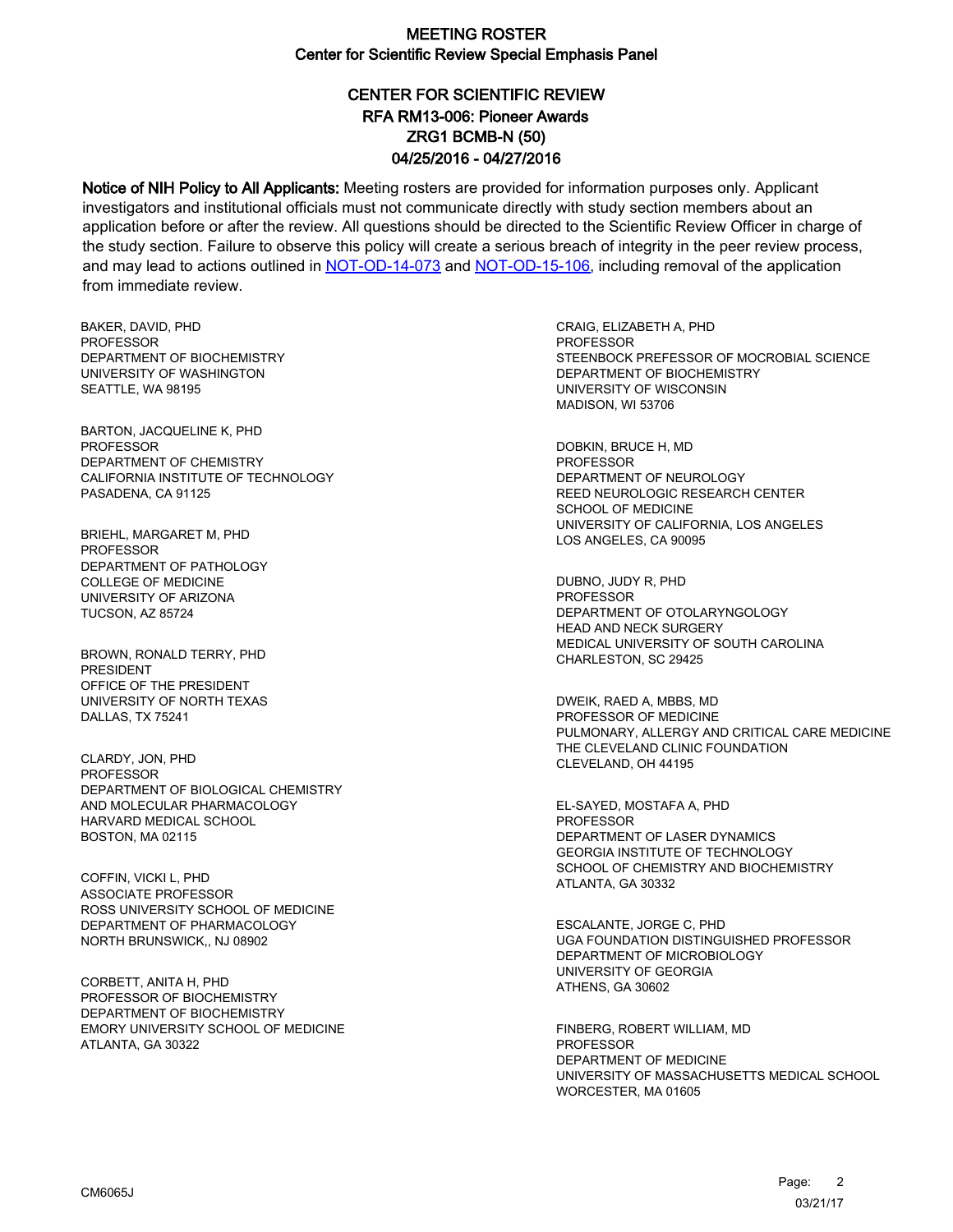# CENTER FOR SCIENTIFIC REVIEW ZRG1 BCMB-N (50) 04/25/2016 - 04/27/2016 RFA RM13-006: Pioneer Awards

Notice of NIH Policy to All Applicants: Meeting rosters are provided for information purposes only. Applicant investigators and institutional officials must not communicate directly with study section members about an application before or after the review. All questions should be directed to the Scientific Review Officer in charge of the study section. Failure to observe this policy will create a serious breach of integrity in the peer review process, and may lead to actions outlined in [NOT-OD-14-073](https://grants.nih.gov/grants/guide/notice-files/NOT-OD-14-073.html) and [NOT-OD-15-106,](https://grants.nih.gov/grants/guide/notice-files/NOT-OD-15-106.html) including removal of the application from immediate review.

BAKER, DAVID, PHD **PROFESSOR** DEPARTMENT OF BIOCHEMISTRY UNIVERSITY OF WASHINGTON SEATTLE, WA 98195

BARTON, JACQUELINE K, PHD PROFESSOR DEPARTMENT OF CHEMISTRY CALIFORNIA INSTITUTE OF TECHNOLOGY PASADENA, CA 91125

BRIEHL, MARGARET M, PHD PROFESSOR DEPARTMENT OF PATHOLOGY COLLEGE OF MEDICINE UNIVERSITY OF ARIZONA TUCSON, AZ 85724

BROWN, RONALD TERRY, PHD PRESIDENT OFFICE OF THE PRESIDENT UNIVERSITY OF NORTH TEXAS DALLAS, TX 75241

CLARDY, JON, PHD PROFESSOR DEPARTMENT OF BIOLOGICAL CHEMISTRY AND MOLECULAR PHARMACOLOGY HARVARD MEDICAL SCHOOL BOSTON, MA 02115

COFFIN, VICKI L, PHD ASSOCIATE PROFESSOR ROSS UNIVERSITY SCHOOL OF MEDICINE DEPARTMENT OF PHARMACOLOGY NORTH BRUNSWICK,, NJ 08902

CORBETT, ANITA H, PHD PROFESSOR OF BIOCHEMISTRY DEPARTMENT OF BIOCHEMISTRY EMORY UNIVERSITY SCHOOL OF MEDICINE ATLANTA, GA 30322

CRAIG, ELIZABETH A, PHD **PROFESSOR** STEENBOCK PREFESSOR OF MOCROBIAL SCIENCE DEPARTMENT OF BIOCHEMISTRY UNIVERSITY OF WISCONSIN MADISON, WI 53706

DOBKIN, BRUCE H, MD PROFESSOR DEPARTMENT OF NEUROLOGY REED NEUROLOGIC RESEARCH CENTER SCHOOL OF MEDICINE UNIVERSITY OF CALIFORNIA, LOS ANGELES LOS ANGELES, CA 90095

DUBNO, JUDY R, PHD **PROFESSOR** DEPARTMENT OF OTOLARYNGOLOGY HEAD AND NECK SURGERY MEDICAL UNIVERSITY OF SOUTH CAROLINA CHARLESTON, SC 29425

DWEIK, RAED A, MBBS, MD PROFESSOR OF MEDICINE PULMONARY, ALLERGY AND CRITICAL CARE MEDICINE THE CLEVELAND CLINIC FOUNDATION CLEVELAND, OH 44195

EL-SAYED, MOSTAFA A, PHD PROFESSOR DEPARTMENT OF LASER DYNAMICS GEORGIA INSTITUTE OF TECHNOLOGY SCHOOL OF CHEMISTRY AND BIOCHEMISTRY ATLANTA, GA 30332

ESCALANTE, JORGE C, PHD UGA FOUNDATION DISTINGUISHED PROFESSOR DEPARTMENT OF MICROBIOLOGY UNIVERSITY OF GEORGIA ATHENS, GA 30602

FINBERG, ROBERT WILLIAM, MD PROFESSOR DEPARTMENT OF MEDICINE UNIVERSITY OF MASSACHUSETTS MEDICAL SCHOOL WORCESTER, MA 01605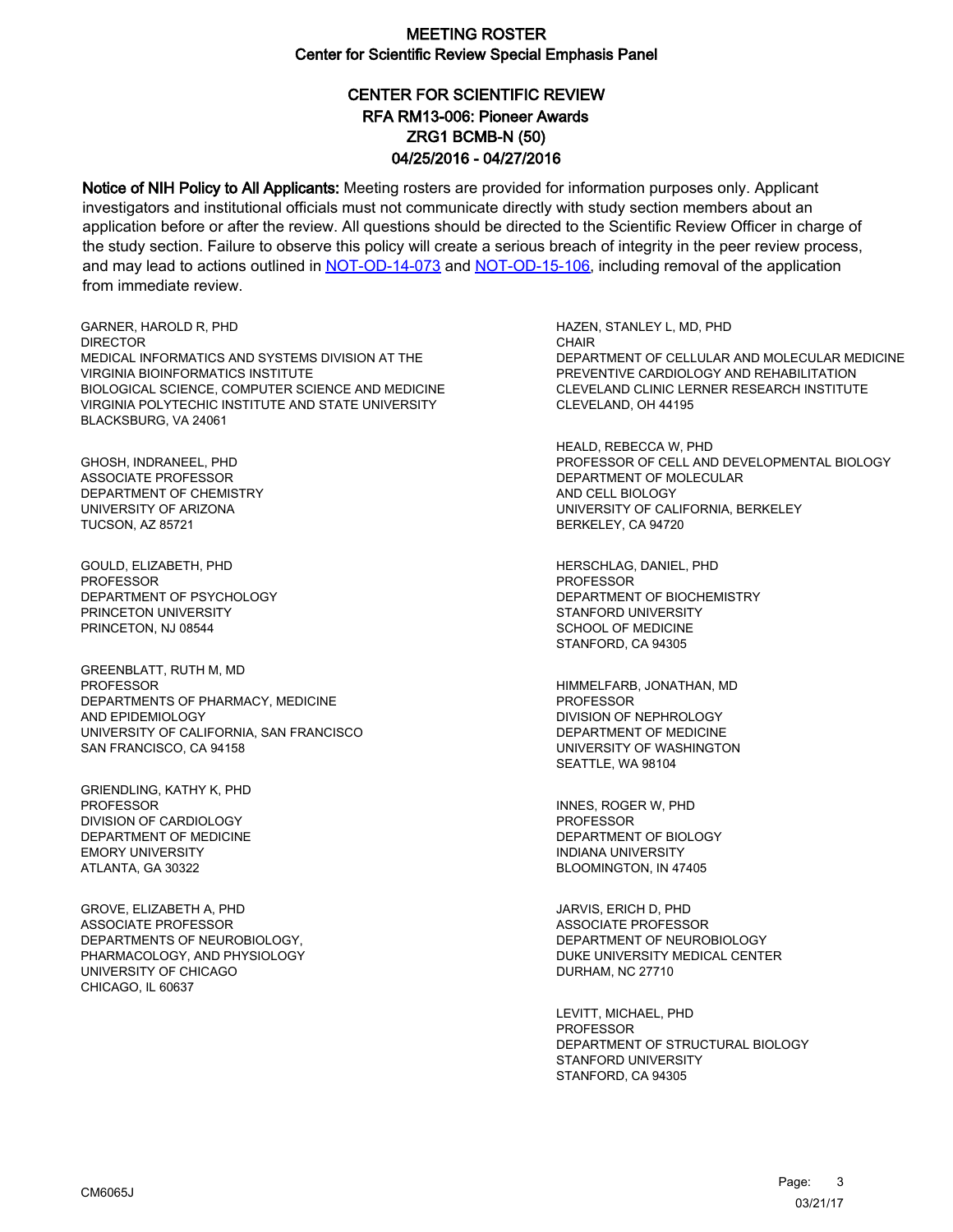# CENTER FOR SCIENTIFIC REVIEW ZRG1 BCMB-N (50) 04/25/2016 - 04/27/2016 RFA RM13-006: Pioneer Awards

Notice of NIH Policy to All Applicants: Meeting rosters are provided for information purposes only. Applicant investigators and institutional officials must not communicate directly with study section members about an application before or after the review. All questions should be directed to the Scientific Review Officer in charge of the study section. Failure to observe this policy will create a serious breach of integrity in the peer review process, and may lead to actions outlined in [NOT-OD-14-073](https://grants.nih.gov/grants/guide/notice-files/NOT-OD-14-073.html) and [NOT-OD-15-106,](https://grants.nih.gov/grants/guide/notice-files/NOT-OD-15-106.html) including removal of the application from immediate review.

GARNER, HAROLD R, PHD **DIRECTOR** MEDICAL INFORMATICS AND SYSTEMS DIVISION AT THE VIRGINIA BIOINFORMATICS INSTITUTE BIOLOGICAL SCIENCE, COMPUTER SCIENCE AND MEDICINE VIRGINIA POLYTECHIC INSTITUTE AND STATE UNIVERSITY BLACKSBURG, VA 24061

GHOSH, INDRANEEL, PHD ASSOCIATE PROFESSOR DEPARTMENT OF CHEMISTRY UNIVERSITY OF ARIZONA TUCSON, AZ 85721

GOULD, ELIZABETH, PHD **PROFESSOR** DEPARTMENT OF PSYCHOLOGY PRINCETON UNIVERSITY PRINCETON, NJ 08544

GREENBLATT, RUTH M, MD **PROFESSOR** DEPARTMENTS OF PHARMACY, MEDICINE AND EPIDEMIOLOGY UNIVERSITY OF CALIFORNIA, SAN FRANCISCO SAN FRANCISCO, CA 94158

GRIENDLING, KATHY K, PHD PROFESSOR DIVISION OF CARDIOLOGY DEPARTMENT OF MEDICINE EMORY UNIVERSITY ATLANTA, GA 30322

GROVE, ELIZABETH A, PHD ASSOCIATE PROFESSOR DEPARTMENTS OF NEUROBIOLOGY, PHARMACOLOGY, AND PHYSIOLOGY UNIVERSITY OF CHICAGO CHICAGO, IL 60637

HAZEN, STANLEY L, MD, PHD **CHAIR** DEPARTMENT OF CELLULAR AND MOLECULAR MEDICINE PREVENTIVE CARDIOLOGY AND REHABILITATION CLEVELAND CLINIC LERNER RESEARCH INSTITUTE CLEVELAND, OH 44195

HEALD, REBECCA W, PHD PROFESSOR OF CELL AND DEVELOPMENTAL BIOLOGY DEPARTMENT OF MOLECULAR AND CELL BIOLOGY UNIVERSITY OF CALIFORNIA, BERKELEY BERKELEY, CA 94720

HERSCHLAG, DANIEL, PHD **PROFESSOR** DEPARTMENT OF BIOCHEMISTRY STANFORD UNIVERSITY SCHOOL OF MEDICINE STANFORD, CA 94305

HIMMELFARB, JONATHAN, MD PROFESSOR DIVISION OF NEPHROLOGY DEPARTMENT OF MEDICINE UNIVERSITY OF WASHINGTON SEATTLE, WA 98104

INNES, ROGER W, PHD PROFESSOR DEPARTMENT OF BIOLOGY INDIANA UNIVERSITY BLOOMINGTON, IN 47405

JARVIS, ERICH D, PHD ASSOCIATE PROFESSOR DEPARTMENT OF NEUROBIOLOGY DUKE UNIVERSITY MEDICAL CENTER DURHAM, NC 27710

LEVITT, MICHAEL, PHD **PROFESSOR** DEPARTMENT OF STRUCTURAL BIOLOGY STANFORD UNIVERSITY STANFORD, CA 94305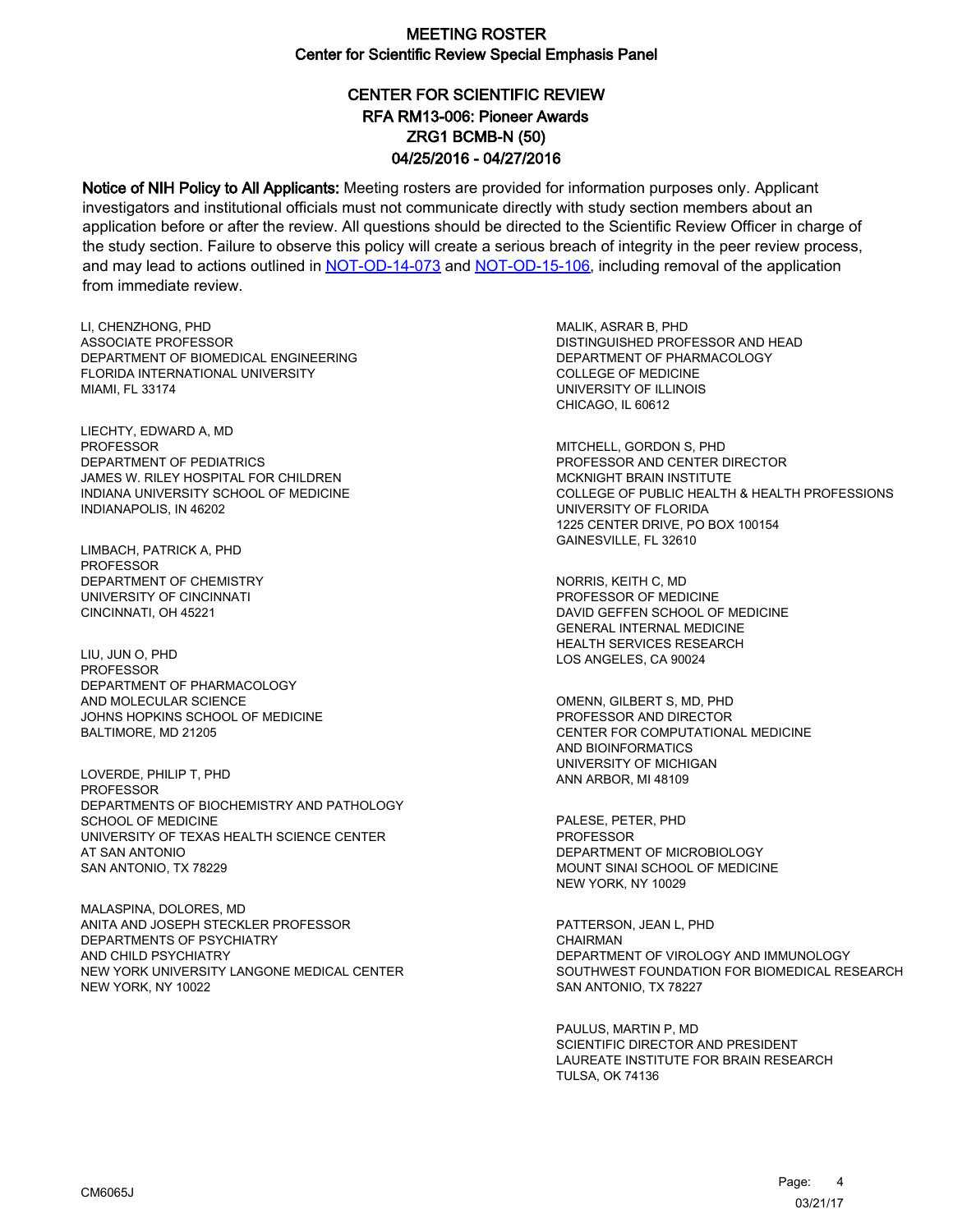# CENTER FOR SCIENTIFIC REVIEW ZRG1 BCMB-N (50) 04/25/2016 - 04/27/2016 RFA RM13-006: Pioneer Awards

Notice of NIH Policy to All Applicants: Meeting rosters are provided for information purposes only. Applicant investigators and institutional officials must not communicate directly with study section members about an application before or after the review. All questions should be directed to the Scientific Review Officer in charge of the study section. Failure to observe this policy will create a serious breach of integrity in the peer review process, and may lead to actions outlined in [NOT-OD-14-073](https://grants.nih.gov/grants/guide/notice-files/NOT-OD-14-073.html) and [NOT-OD-15-106,](https://grants.nih.gov/grants/guide/notice-files/NOT-OD-15-106.html) including removal of the application from immediate review.

LI, CHENZHONG, PHD ASSOCIATE PROFESSOR DEPARTMENT OF BIOMEDICAL ENGINEERING FLORIDA INTERNATIONAL UNIVERSITY MIAMI, FL 33174

LIECHTY, EDWARD A, MD PROFESSOR DEPARTMENT OF PEDIATRICS JAMES W. RILEY HOSPITAL FOR CHILDREN INDIANA UNIVERSITY SCHOOL OF MEDICINE INDIANAPOLIS, IN 46202

LIMBACH, PATRICK A, PHD PROFESSOR DEPARTMENT OF CHEMISTRY UNIVERSITY OF CINCINNATI CINCINNATI, OH 45221

LIU, JUN O, PHD PROFESSOR DEPARTMENT OF PHARMACOLOGY AND MOLECULAR SCIENCE JOHNS HOPKINS SCHOOL OF MEDICINE BALTIMORE, MD 21205

LOVERDE, PHILIP T, PHD PROFESSOR DEPARTMENTS OF BIOCHEMISTRY AND PATHOLOGY SCHOOL OF MEDICINE UNIVERSITY OF TEXAS HEALTH SCIENCE CENTER AT SAN ANTONIO SAN ANTONIO, TX 78229

MALASPINA, DOLORES, MD ANITA AND JOSEPH STECKLER PROFESSOR DEPARTMENTS OF PSYCHIATRY AND CHILD PSYCHIATRY NEW YORK UNIVERSITY LANGONE MEDICAL CENTER NEW YORK, NY 10022

MALIK, ASRAR B, PHD DISTINGUISHED PROFESSOR AND HEAD DEPARTMENT OF PHARMACOLOGY COLLEGE OF MEDICINE UNIVERSITY OF ILLINOIS CHICAGO, IL 60612

MITCHELL, GORDON S, PHD PROFESSOR AND CENTER DIRECTOR MCKNIGHT BRAIN INSTITUTE COLLEGE OF PUBLIC HEALTH & HEALTH PROFESSIONS UNIVERSITY OF FLORIDA 1225 CENTER DRIVE, PO BOX 100154 GAINESVILLE, FL 32610

NORRIS, KEITH C, MD PROFESSOR OF MEDICINE DAVID GEFFEN SCHOOL OF MEDICINE GENERAL INTERNAL MEDICINE HEALTH SERVICES RESEARCH LOS ANGELES, CA 90024

OMENN, GILBERT S, MD, PHD PROFESSOR AND DIRECTOR CENTER FOR COMPUTATIONAL MEDICINE AND BIOINFORMATICS UNIVERSITY OF MICHIGAN ANN ARBOR, MI 48109

PALESE, PETER, PHD PROFESSOR DEPARTMENT OF MICROBIOLOGY MOUNT SINAI SCHOOL OF MEDICINE NEW YORK, NY 10029

PATTERSON, JEAN L, PHD **CHAIRMAN** DEPARTMENT OF VIROLOGY AND IMMUNOLOGY SOUTHWEST FOUNDATION FOR BIOMEDICAL RESEARCH SAN ANTONIO, TX 78227

PAULUS, MARTIN P, MD SCIENTIFIC DIRECTOR AND PRESIDENT LAUREATE INSTITUTE FOR BRAIN RESEARCH TULSA, OK 74136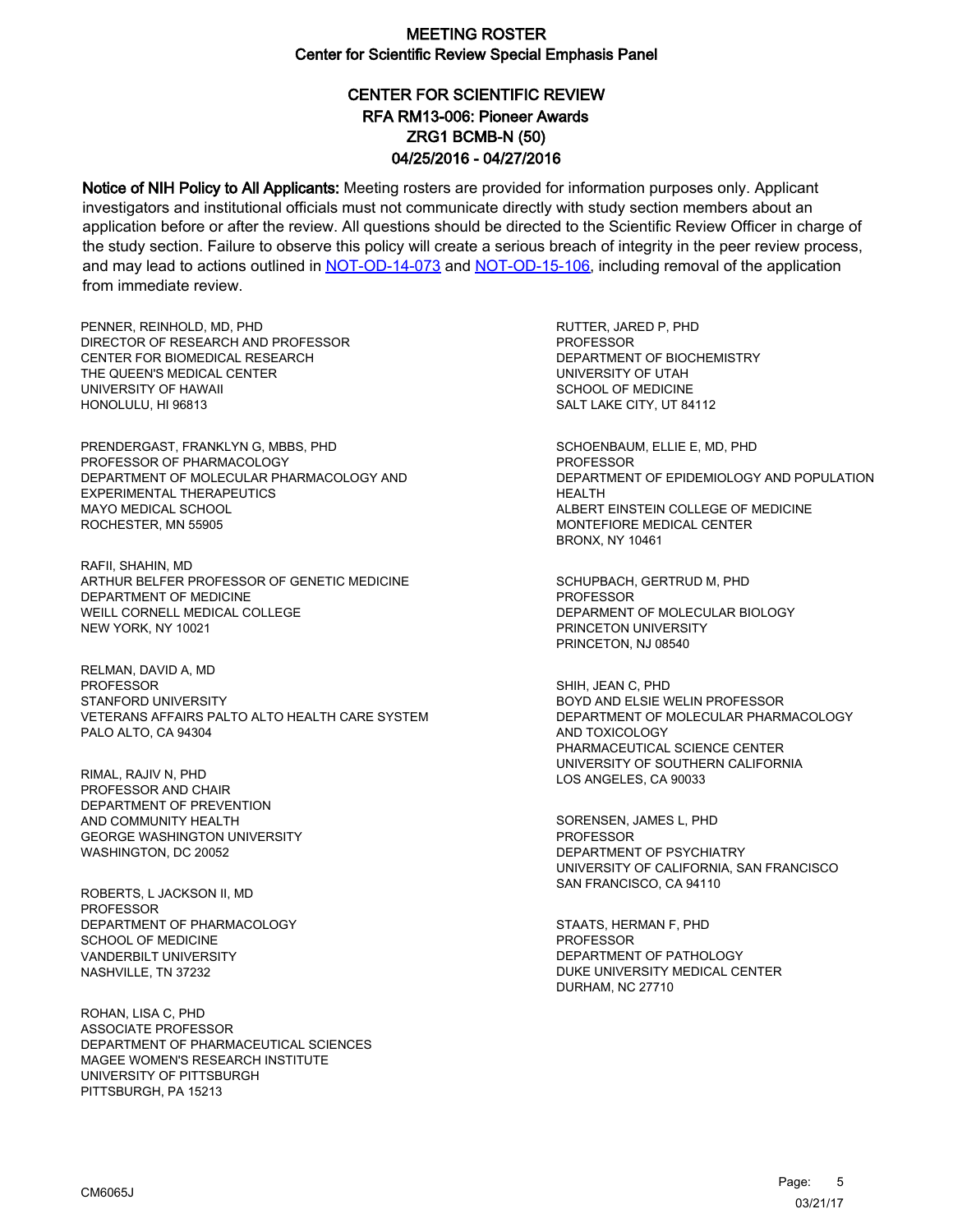# CENTER FOR SCIENTIFIC REVIEW ZRG1 BCMB-N (50) 04/25/2016 - 04/27/2016 RFA RM13-006: Pioneer Awards

Notice of NIH Policy to All Applicants: Meeting rosters are provided for information purposes only. Applicant investigators and institutional officials must not communicate directly with study section members about an application before or after the review. All questions should be directed to the Scientific Review Officer in charge of the study section. Failure to observe this policy will create a serious breach of integrity in the peer review process, and may lead to actions outlined in [NOT-OD-14-073](https://grants.nih.gov/grants/guide/notice-files/NOT-OD-14-073.html) and [NOT-OD-15-106,](https://grants.nih.gov/grants/guide/notice-files/NOT-OD-15-106.html) including removal of the application from immediate review.

PENNER, REINHOLD, MD, PHD DIRECTOR OF RESEARCH AND PROFESSOR CENTER FOR BIOMEDICAL RESEARCH THE QUEEN'S MEDICAL CENTER UNIVERSITY OF HAWAII HONOLULU, HI 96813

PRENDERGAST, FRANKLYN G, MBBS, PHD PROFESSOR OF PHARMACOLOGY DEPARTMENT OF MOLECULAR PHARMACOLOGY AND EXPERIMENTAL THERAPEUTICS MAYO MEDICAL SCHOOL ROCHESTER, MN 55905

RAFII, SHAHIN, MD ARTHUR BELFER PROFESSOR OF GENETIC MEDICINE DEPARTMENT OF MEDICINE WEILL CORNELL MEDICAL COLLEGE NEW YORK, NY 10021

RELMAN, DAVID A, MD PROFESSOR STANFORD UNIVERSITY VETERANS AFFAIRS PALTO ALTO HEALTH CARE SYSTEM PALO ALTO, CA 94304

RIMAL, RAJIV N, PHD PROFESSOR AND CHAIR DEPARTMENT OF PREVENTION AND COMMUNITY HEALTH GEORGE WASHINGTON UNIVERSITY WASHINGTON, DC 20052

ROBERTS, L JACKSON II, MD **PROFESSOR** DEPARTMENT OF PHARMACOLOGY SCHOOL OF MEDICINE VANDERBILT UNIVERSITY NASHVILLE, TN 37232

ROHAN, LISA C, PHD ASSOCIATE PROFESSOR DEPARTMENT OF PHARMACEUTICAL SCIENCES MAGEE WOMEN'S RESEARCH INSTITUTE UNIVERSITY OF PITTSBURGH PITTSBURGH, PA 15213

RUTTER, JARED P, PHD **PROFESSOR** DEPARTMENT OF BIOCHEMISTRY UNIVERSITY OF UTAH SCHOOL OF MEDICINE SALT LAKE CITY, UT 84112

SCHOENBAUM, ELLIE E, MD, PHD PROFESSOR DEPARTMENT OF EPIDEMIOLOGY AND POPULATION HEALTH ALBERT EINSTEIN COLLEGE OF MEDICINE MONTEFIORE MEDICAL CENTER BRONX, NY 10461

SCHUPBACH, GERTRUD M, PHD **PROFESSOR** DEPARMENT OF MOLECULAR BIOLOGY PRINCETON UNIVERSITY PRINCETON, NJ 08540

SHIH, JEAN C, PHD BOYD AND ELSIE WELIN PROFESSOR DEPARTMENT OF MOLECULAR PHARMACOLOGY AND TOXICOLOGY PHARMACEUTICAL SCIENCE CENTER UNIVERSITY OF SOUTHERN CALIFORNIA LOS ANGELES, CA 90033

SORENSEN, JAMES L, PHD PROFESSOR DEPARTMENT OF PSYCHIATRY UNIVERSITY OF CALIFORNIA, SAN FRANCISCO SAN FRANCISCO, CA 94110

STAATS, HERMAN F, PHD **PROFESSOR** DEPARTMENT OF PATHOLOGY DUKE UNIVERSITY MEDICAL CENTER DURHAM, NC 27710